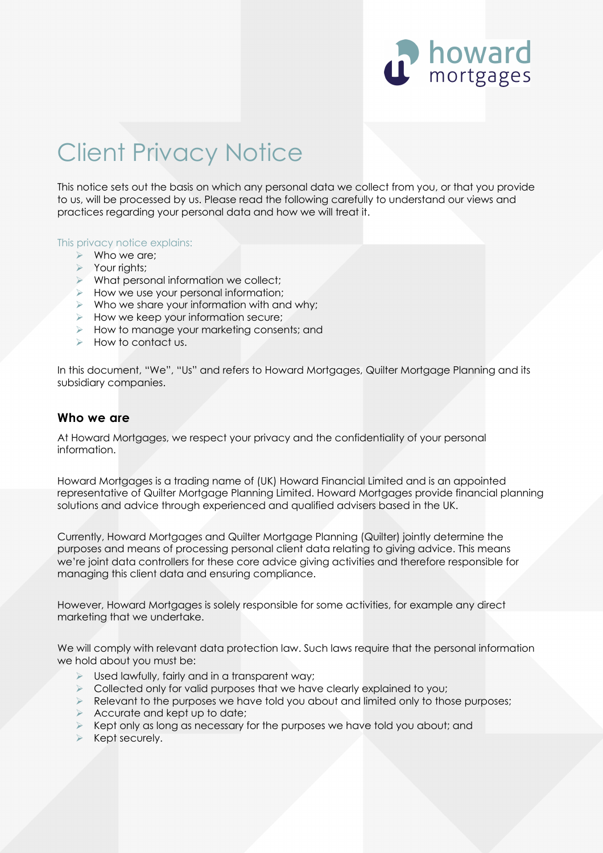

# Client Privacy Notice

This notice sets out the basis on which any personal data we collect from you, or that you provide to us, will be processed by us. Please read the following carefully to understand our views and practices regarding your personal data and how we will treat it.

#### This privacy notice explains:

- $\triangleright$  Who we are;
- > Your rights;
- $\triangleright$  What personal information we collect;
- $\triangleright$  How we use your personal information;
- $\triangleright$  Who we share your information with and why;
- $\triangleright$  How we keep your information secure;
- $\blacktriangleright$  How to manage your marketing consents; and
- Ø How to contact us.

In this document, "We", "Us" and refers to Howard Mortgages, Quilter Mortgage Planning and its subsidiary companies.

#### **Who we are**

At Howard Mortgages, we respect your privacy and the confidentiality of your personal information.

Howard Mortgages is a trading name of (UK) Howard Financial Limited and is an appointed representative of Quilter Mortgage Planning Limited. Howard Mortgages provide financial planning solutions and advice through experienced and qualified advisers based in the UK.

Currently, Howard Mortgages and Quilter Mortgage Planning (Quilter) jointly determine the purposes and means of processing personal client data relating to giving advice. This means we're joint data controllers for these core advice giving activities and therefore responsible for managing this client data and ensuring compliance.

However, Howard Mortgages is solely responsible for some activities, for example any direct marketing that we undertake.

We will comply with relevant data protection law. Such laws require that the personal information we hold about you must be:

- $\triangleright$  Used lawfully, fairly and in a transparent way;
- $\triangleright$  Collected only for valid purposes that we have clearly explained to you;
- $\triangleright$  Relevant to the purposes we have told you about and limited only to those purposes;
- $\triangleright$  Accurate and kept up to date;
- $\triangleright$  Kept only as long as necessary for the purposes we have told you about; and
- $\triangleright$  Kept securely.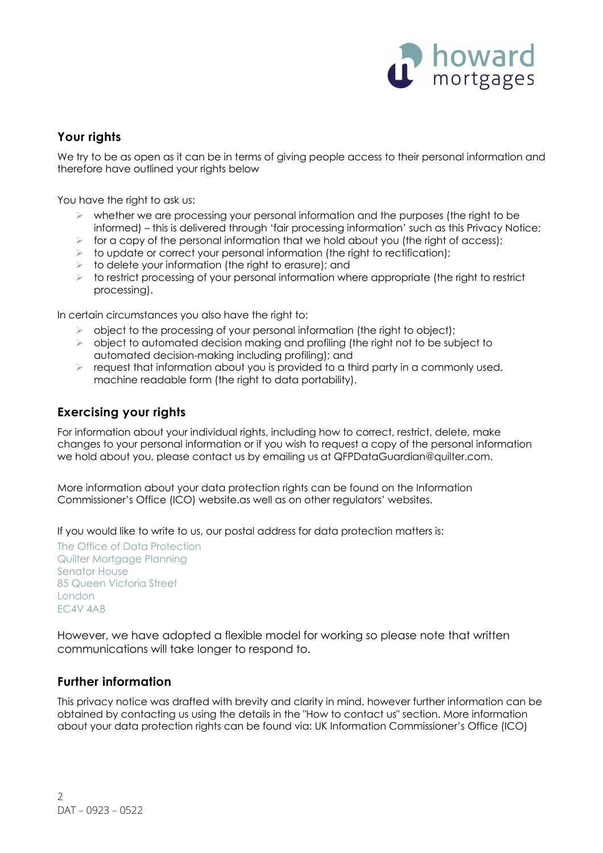

# **Your rights**

We try to be as open as it can be in terms of giving people access to their personal information and therefore have outlined your rights below

You have the right to ask us:

- $\triangleright$  whether we are processing your personal information and the purposes (the right to be informed) – this is delivered through 'fair processing information' such as this Privacy Notice;
- $\triangleright$  for a copy of the personal information that we hold about you (the right of access);
- $\triangleright$  to update or correct your personal information (the right to rectification);
- $\triangleright$  to delete your information (the right to erasure); and
- $\triangleright$  to restrict processing of your personal information where appropriate (the right to restrict processing).

In certain circumstances you also have the right to:

- $\triangleright$  object to the processing of your personal information (the right to object);
- $\triangleright$  object to automated decision making and profiling (the right not to be subject to automated decision-making including profiling); and
- $\triangleright$  request that information about you is provided to a third party in a commonly used, machine readable form (the right to data portability).

# **Exercising your rights**

For information about your individual rights, including how to correct, restrict, delete, make changes to your personal information or if you wish to request a copy of the personal information we hold about you, please contact us by emailing us at QFPDataGuardian@quilter.com.

More information about your data protection rights can be found on the Information Commissioner's Office (ICO) website.as well as on other regulators' websites.

If you would like to write to us, our postal address for data protection matters is:

The Office of Data Protection Quilter Mortgage Planning Senator House 85 Queen Victoria Street London EC4V 4AB

However, we have adopted a flexible model for working so please note that written communications will take longer to respond to.

# **Further information**

This privacy notice was drafted with brevity and clarity in mind, however further information can be obtained by contacting us using the details in the "How to contact us" section. More information about your data protection rights can be found via: UK Information Commissioner's Office (ICO)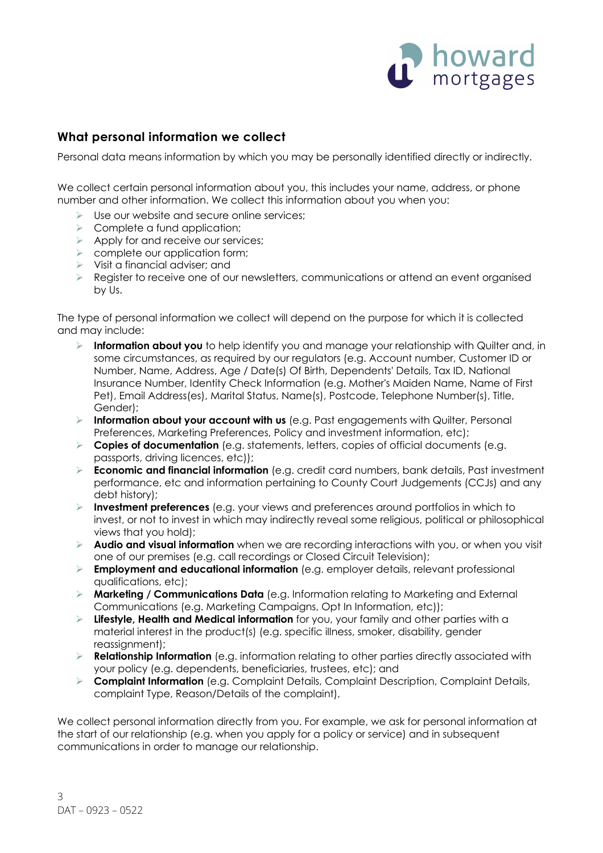

## **What personal information we collect**

Personal data means information by which you may be personally identified directly or indirectly.

We collect certain personal information about you, this includes your name, address, or phone number and other information. We collect this information about you when you:

- Use our website and secure online services;
- $\triangleright$  Complete a fund application;
- $\triangleright$  Apply for and receive our services:
- $\triangleright$  complete our application form;
- $\triangleright$  Visit a financial adviser; and
- Ø Register to receive one of our newsletters, communications or attend an event organised by Us.

The type of personal information we collect will depend on the purpose for which it is collected and may include:

- Ø **Information about you** to help identify you and manage your relationship with Quilter and, in some circumstances, as required by our regulators (e.g. Account number, Customer ID or Number, Name, Address, Age / Date(s) Of Birth, Dependents' Details, Tax ID, National Insurance Number, Identity Check Information (e.g. Mother's Maiden Name, Name of First Pet), Email Address(es), Marital Status, Name(s), Postcode, Telephone Number(s), Title, Gender);
- Ø **Information about your account with us** (e.g. Past engagements with Quilter, Personal Preferences, Marketing Preferences, Policy and investment information, etc);
- Ø **Copies of documentation** (e.g. statements, letters, copies of official documents (e.g. passports, driving licences, etc));
- Ø **Economic and financial information** (e.g. credit card numbers, bank details, Past investment performance, etc and information pertaining to County Court Judgements (CCJs) and any debt history);
- Ø **Investment preferences** (e.g. your views and preferences around portfolios in which to invest, or not to invest in which may indirectly reveal some religious, political or philosophical views that you hold);
- Ø **Audio and visual information** when we are recording interactions with you, or when you visit one of our premises (e.g. call recordings or Closed Circuit Television);
- Ø **Employment and educational information** (e.g. employer details, relevant professional qualifications, etc);
- Ø **Marketing / Communications Data** (e.g. Information relating to Marketing and External Communications (e.g. Marketing Campaigns, Opt In Information, etc));
- Ø **Lifestyle, Health and Medical information** for you, your family and other parties with a material interest in the product(s) (e.g. specific illness, smoker, disability, gender reassignment);
- Ø **Relationship Information** (e.g. information relating to other parties directly associated with your policy (e.g. dependents, beneficiaries, trustees, etc); and
- Ø **Complaint Information** (e.g. Complaint Details, Complaint Description, Complaint Details, complaint Type, Reason/Details of the complaint),

We collect personal information directly from you. For example, we ask for personal information at the start of our relationship (e.g. when you apply for a policy or service) and in subsequent communications in order to manage our relationship.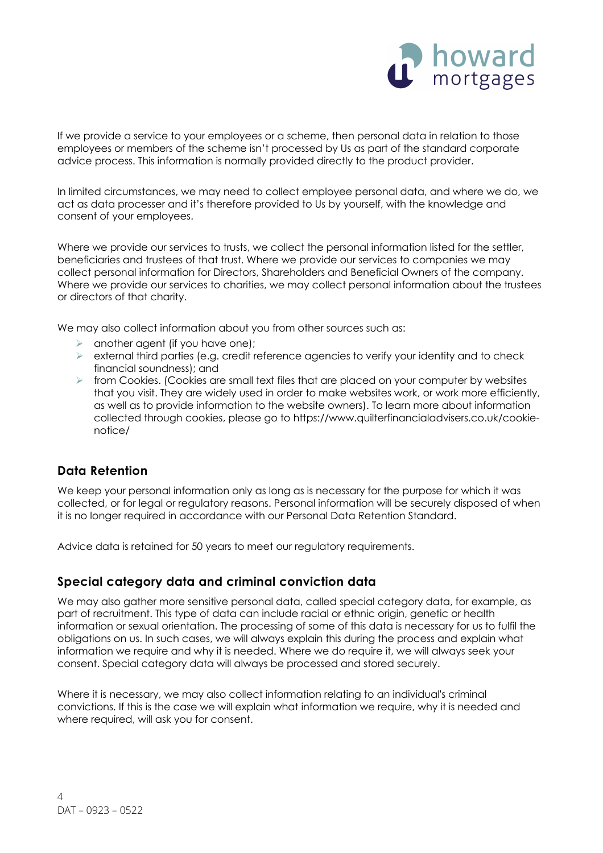

If we provide a service to your employees or a scheme, then personal data in relation to those employees or members of the scheme isn't processed by Us as part of the standard corporate advice process. This information is normally provided directly to the product provider.

In limited circumstances, we may need to collect employee personal data, and where we do, we act as data processer and it's therefore provided to Us by yourself, with the knowledge and consent of your employees.

Where we provide our services to trusts, we collect the personal information listed for the settler, beneficiaries and trustees of that trust. Where we provide our services to companies we may collect personal information for Directors, Shareholders and Beneficial Owners of the company. Where we provide our services to charities, we may collect personal information about the trustees or directors of that charity.

We may also collect information about you from other sources such as:

- $\triangleright$  another agent (if you have one);
- $\triangleright$  external third parties (e.g. credit reference agencies to verify your identity and to check financial soundness); and
- $\triangleright$  from Cookies. (Cookies are small text files that are placed on your computer by websites that you visit. They are widely used in order to make websites work, or work more efficiently, as well as to provide information to the website owners). To learn more about information collected through cookies, please go to https://www.quilterfinancialadvisers.co.uk/cookienotice/

# **Data Retention**

We keep your personal information only as long as is necessary for the purpose for which it was collected, or for legal or regulatory reasons. Personal information will be securely disposed of when it is no longer required in accordance with our Personal Data Retention Standard.

Advice data is retained for 50 years to meet our regulatory requirements.

#### **Special category data and criminal conviction data**

We may also gather more sensitive personal data, called special category data, for example, as part of recruitment. This type of data can include racial or ethnic origin, genetic or health information or sexual orientation. The processing of some of this data is necessary for us to fulfil the obligations on us. In such cases, we will always explain this during the process and explain what information we require and why it is needed. Where we do require it, we will always seek your consent. Special category data will always be processed and stored securely.

Where it is necessary, we may also collect information relating to an individual's criminal convictions. If this is the case we will explain what information we require, why it is needed and where required, will ask you for consent.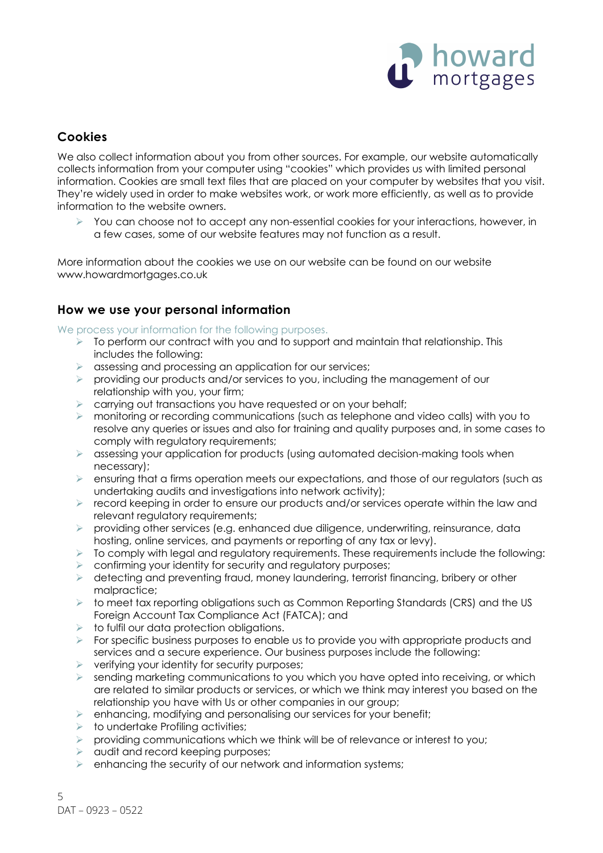

# **Cookies**

We also collect information about you from other sources. For example, our website automatically collects information from your computer using "cookies" which provides us with limited personal information. Cookies are small text files that are placed on your computer by websites that you visit. They're widely used in order to make websites work, or work more efficiently, as well as to provide information to the website owners.

 $\geq$  You can choose not to accept any non-essential cookies for your interactions, however, in a few cases, some of our website features may not function as a result.

More information about the cookies we use on our website can be found on our website www.howardmortgages.co.uk

## **How we use your personal information**

We process your information for the following purposes.

- $\triangleright$  To perform our contract with you and to support and maintain that relationship. This includes the following:
- $\triangleright$  assessing and processing an application for our services;
- $\triangleright$  providing our products and/or services to you, including the management of our relationship with you, your firm;
- $\triangleright$  carrying out transactions you have requested or on your behalf;
- $\triangleright$  monitoring or recording communications (such as telephone and video calls) with you to resolve any queries or issues and also for training and quality purposes and, in some cases to comply with regulatory requirements;
- $\triangleright$  assessing your application for products (using automated decision-making tools when necessary);
- $\triangleright$  ensuring that a firms operation meets our expectations, and those of our regulators (such as undertaking audits and investigations into network activity);
- $\triangleright$  record keeping in order to ensure our products and/or services operate within the law and relevant regulatory requirements;
- Ø providing other services (e.g. enhanced due diligence, underwriting, reinsurance, data hosting, online services, and payments or reporting of any tax or levy).
- $\triangleright$  To comply with legal and regulatory requirements. These requirements include the following:
- $\triangleright$  confirming your identity for security and regulatory purposes;
- $\triangleright$  detecting and preventing fraud, money laundering, terrorist financing, bribery or other malpractice;
- $\triangleright$  to meet tax reporting obligations such as Common Reporting Standards (CRS) and the US Foreign Account Tax Compliance Act (FATCA); and
- $\triangleright$  to fulfil our data protection obligations.
- $\triangleright$  For specific business purposes to enable us to provide you with appropriate products and services and a secure experience. Our business purposes include the following:
- $\triangleright$  verifying your identity for security purposes;
- $\triangleright$  sending marketing communications to you which you have opted into receiving, or which are related to similar products or services, or which we think may interest you based on the relationship you have with Us or other companies in our group;
- $\triangleright$  enhancing, modifying and personalising our services for your benefit;
- $\triangleright$  to undertake Profiling activities;
- $\triangleright$  providing communications which we think will be of relevance or interest to you;
- $\triangleright$  audit and record keeping purposes;
- $\triangleright$  enhancing the security of our network and information systems;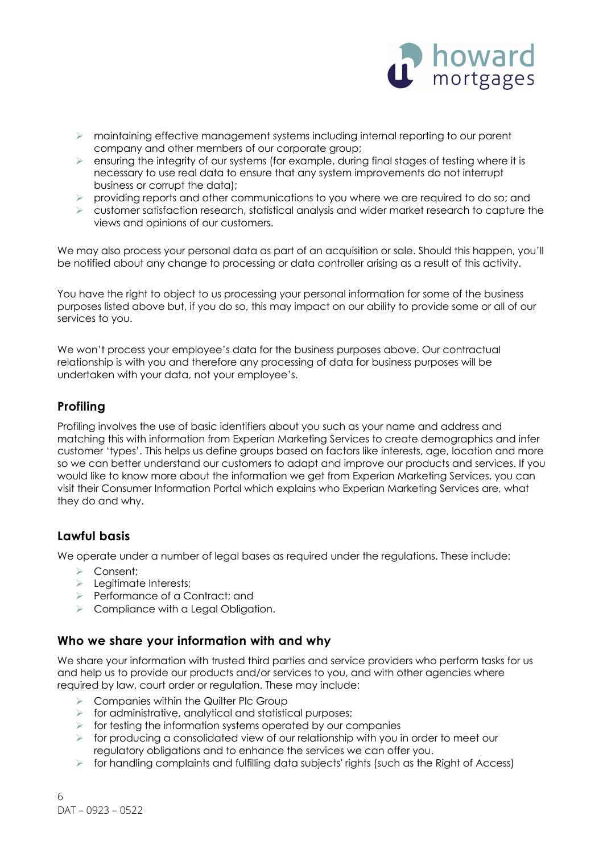

- $\triangleright$  maintaining effective management systems including internal reporting to our parent company and other members of our corporate group;
- $\triangleright$  ensuring the integrity of our systems (for example, during final stages of testing where it is necessary to use real data to ensure that any system improvements do not interrupt business or corrupt the data);
- $\triangleright$  providing reports and other communications to you where we are required to do so; and
- $\triangleright$  customer satisfaction research, statistical analysis and wider market research to capture the views and opinions of our customers.

We may also process your personal data as part of an acquisition or sale. Should this happen, you'll be notified about any change to processing or data controller arising as a result of this activity.

You have the right to object to us processing your personal information for some of the business purposes listed above but, if you do so, this may impact on our ability to provide some or all of our services to you.

We won't process your employee's data for the business purposes above. Our contractual relationship is with you and therefore any processing of data for business purposes will be undertaken with your data, not your employee's.

# **Profiling**

Profiling involves the use of basic identifiers about you such as your name and address and matching this with information from Experian Marketing Services to create demographics and infer customer 'types'. This helps us define groups based on factors like interests, age, location and more so we can better understand our customers to adapt and improve our products and services. If you would like to know more about the information we get from Experian Marketing Services, you can visit their Consumer Information Portal which explains who Experian Marketing Services are, what they do and why.

# **Lawful basis**

We operate under a number of legal bases as required under the regulations. These include:

- $\triangleright$  Consent:
- $\triangleright$  Legitimate Interests:
- Ø Performance of a Contract; and
- $\triangleright$  Compliance with a Legal Obligation.

#### **Who we share your information with and why**

We share your information with trusted third parties and service providers who perform tasks for us and help us to provide our products and/or services to you, and with other agencies where required by law, court order or regulation. These may include:

- $\triangleright$  Companies within the Quilter Plc Group
- $\triangleright$  for administrative, analytical and statistical purposes;
- $\triangleright$  for testing the information systems operated by our companies
- $\triangleright$  for producing a consolidated view of our relationship with you in order to meet our regulatory obligations and to enhance the services we can offer you.
- $\triangleright$  for handling complaints and fulfilling data subjects' rights (such as the Right of Access)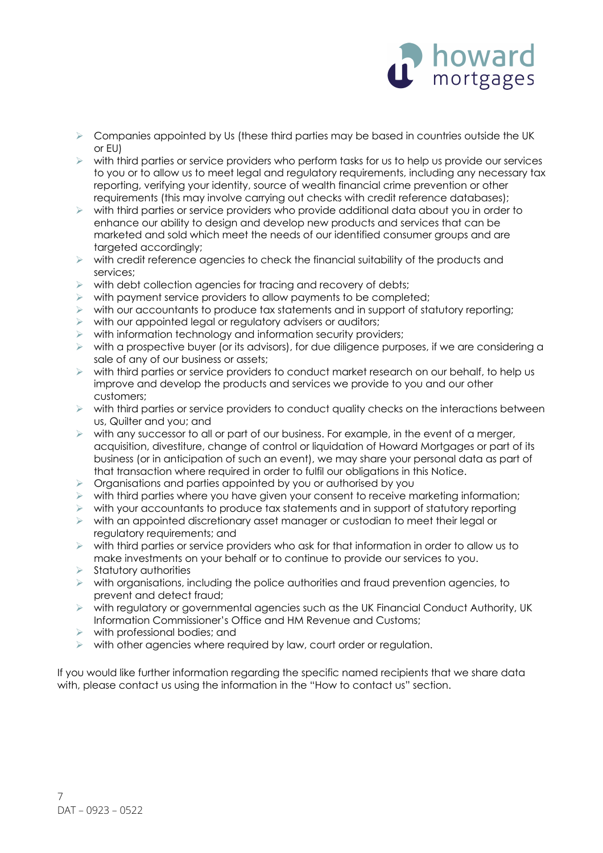

- $\triangleright$  Companies appointed by Us (these third parties may be based in countries outside the UK or EU)
- $\triangleright$  with third parties or service providers who perform tasks for us to help us provide our services to you or to allow us to meet legal and regulatory requirements, including any necessary tax reporting, verifying your identity, source of wealth financial crime prevention or other requirements (this may involve carrying out checks with credit reference databases);
- $\triangleright$  with third parties or service providers who provide additional data about you in order to enhance our ability to design and develop new products and services that can be marketed and sold which meet the needs of our identified consumer groups and are targeted accordingly;
- $\triangleright$  with credit reference agencies to check the financial suitability of the products and services;
- $\triangleright$  with debt collection agencies for tracing and recovery of debts;
- $\triangleright$  with payment service providers to allow payments to be completed;
- $\triangleright$  with our accountants to produce tax statements and in support of statutory reporting;
- $\triangleright$  with our appointed legal or regulatory advisers or auditors;
- $\triangleright$  with information technology and information security providers;
- $\triangleright$  with a prospective buyer (or its advisors), for due diligence purposes, if we are considering a sale of any of our business or assets;
- $\triangleright$  with third parties or service providers to conduct market research on our behalf, to help us improve and develop the products and services we provide to you and our other customers;
- $\triangleright$  with third parties or service providers to conduct quality checks on the interactions between us, Quilter and you; and
- $\triangleright$  with any successor to all or part of our business. For example, in the event of a merger, acquisition, divestiture, change of control or liquidation of Howard Mortgages or part of its business (or in anticipation of such an event), we may share your personal data as part of that transaction where required in order to fulfil our obligations in this Notice.
- $\triangleright$  Organisations and parties appointed by you or authorised by you
- $\triangleright$  with third parties where you have given your consent to receive marketing information;
- $\triangleright$  with your accountants to produce tax statements and in support of statutory reporting
- $\triangleright$  with an appointed discretionary asset manager or custodian to meet their legal or regulatory requirements; and
- $\triangleright$  with third parties or service providers who ask for that information in order to allow us to make investments on your behalf or to continue to provide our services to you.
- $\triangleright$  Statutory authorities
- $\triangleright$  with organisations, including the police authorities and fraud prevention gaencies, to prevent and detect fraud;
- $\triangleright$  with regulatory or governmental agencies such as the UK Financial Conduct Authority, UK Information Commissioner's Office and HM Revenue and Customs;
- $\triangleright$  with professional bodies; and
- $\triangleright$  with other agencies where required by law, court order or regulation.

If you would like further information regarding the specific named recipients that we share data with, please contact us using the information in the "How to contact us" section.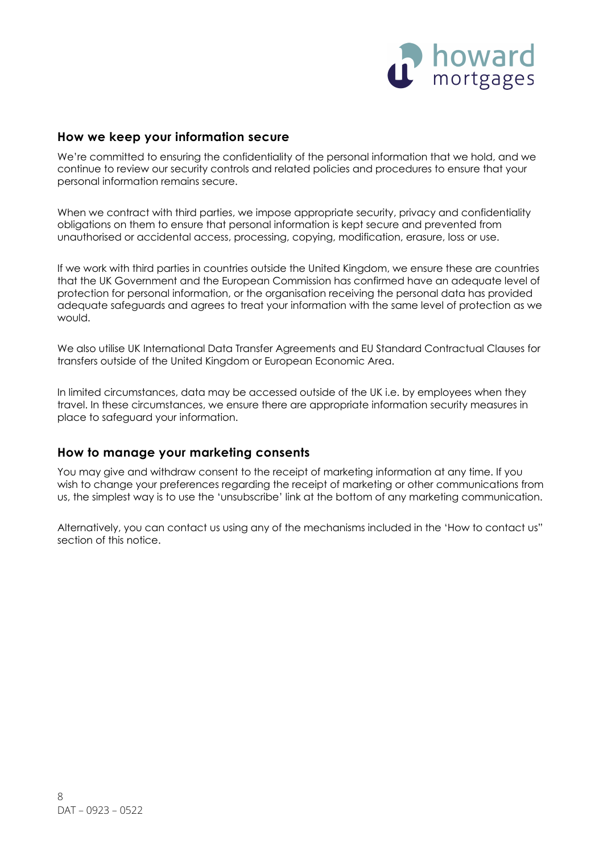

#### **How we keep your information secure**

We're committed to ensuring the confidentiality of the personal information that we hold, and we continue to review our security controls and related policies and procedures to ensure that your personal information remains secure.

When we contract with third parties, we impose appropriate security, privacy and confidentiality obligations on them to ensure that personal information is kept secure and prevented from unauthorised or accidental access, processing, copying, modification, erasure, loss or use.

If we work with third parties in countries outside the United Kingdom, we ensure these are countries that the UK Government and the European Commission has confirmed have an adequate level of protection for personal information, or the organisation receiving the personal data has provided adequate safeguards and agrees to treat your information with the same level of protection as we would.

We also utilise UK International Data Transfer Agreements and EU Standard Contractual Clauses for transfers outside of the United Kingdom or European Economic Area.

In limited circumstances, data may be accessed outside of the UK i.e. by employees when they travel. In these circumstances, we ensure there are appropriate information security measures in place to safeguard your information.

#### **How to manage your marketing consents**

You may give and withdraw consent to the receipt of marketing information at any time. If you wish to change your preferences regarding the receipt of marketing or other communications from us, the simplest way is to use the 'unsubscribe' link at the bottom of any marketing communication.

Alternatively, you can contact us using any of the mechanisms included in the 'How to contact us" section of this notice.